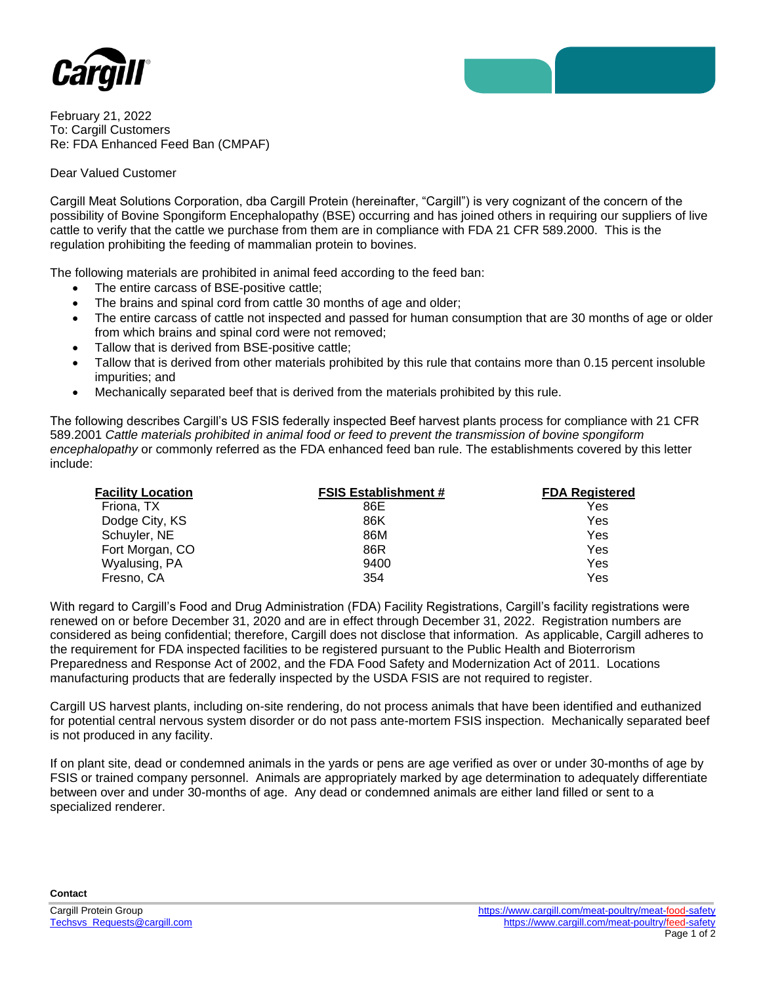



February 21, 2022 To: Cargill Customers Re: FDA Enhanced Feed Ban (CMPAF)

## Dear Valued Customer

Cargill Meat Solutions Corporation, dba Cargill Protein (hereinafter, "Cargill") is very cognizant of the concern of the possibility of Bovine Spongiform Encephalopathy (BSE) occurring and has joined others in requiring our suppliers of live cattle to verify that the cattle we purchase from them are in compliance with FDA 21 CFR 589.2000. This is the regulation prohibiting the feeding of mammalian protein to bovines.

The following materials are prohibited in animal feed according to the feed ban:

- The entire carcass of BSE-positive cattle;
- The brains and spinal cord from cattle 30 months of age and older;
- The entire carcass of cattle not inspected and passed for human consumption that are 30 months of age or older from which brains and spinal cord were not removed;
- Tallow that is derived from BSE-positive cattle;
- Tallow that is derived from other materials prohibited by this rule that contains more than 0.15 percent insoluble impurities; and
- Mechanically separated beef that is derived from the materials prohibited by this rule.

The following describes Cargill's US FSIS federally inspected Beef harvest plants process for compliance with 21 CFR 589.2001 *Cattle materials prohibited in animal food or feed to prevent the transmission of bovine spongiform encephalopathy* or commonly referred as the FDA enhanced feed ban rule. The establishments covered by this letter include:

| <b>Facility Location</b> | <b>FSIS Establishment #</b> | <b>FDA Registered</b> |
|--------------------------|-----------------------------|-----------------------|
| Friona, TX               | 86E                         | Yes                   |
| Dodge City, KS           | 86K                         | Yes                   |
| Schuyler, NE             | 86M                         | Yes                   |
| Fort Morgan, CO          | 86R                         | Yes                   |
| Wyalusing, PA            | 9400                        | Yes                   |
| Fresno, CA               | 354                         | Yes                   |

With regard to Cargill's Food and Drug Administration (FDA) Facility Registrations, Cargill's facility registrations were renewed on or before December 31, 2020 and are in effect through December 31, 2022. Registration numbers are considered as being confidential; therefore, Cargill does not disclose that information. As applicable, Cargill adheres to the requirement for FDA inspected facilities to be registered pursuant to the Public Health and Bioterrorism Preparedness and Response Act of 2002, and the FDA Food Safety and Modernization Act of 2011. Locations manufacturing products that are federally inspected by the USDA FSIS are not required to register.

Cargill US harvest plants, including on-site rendering, do not process animals that have been identified and euthanized for potential central nervous system disorder or do not pass ante-mortem FSIS inspection. Mechanically separated beef is not produced in any facility.

If on plant site, dead or condemned animals in the yards or pens are age verified as over or under 30-months of age by FSIS or trained company personnel. Animals are appropriately marked by age determination to adequately differentiate between over and under 30-months of age. Any dead or condemned animals are either land filled or sent to a specialized renderer.